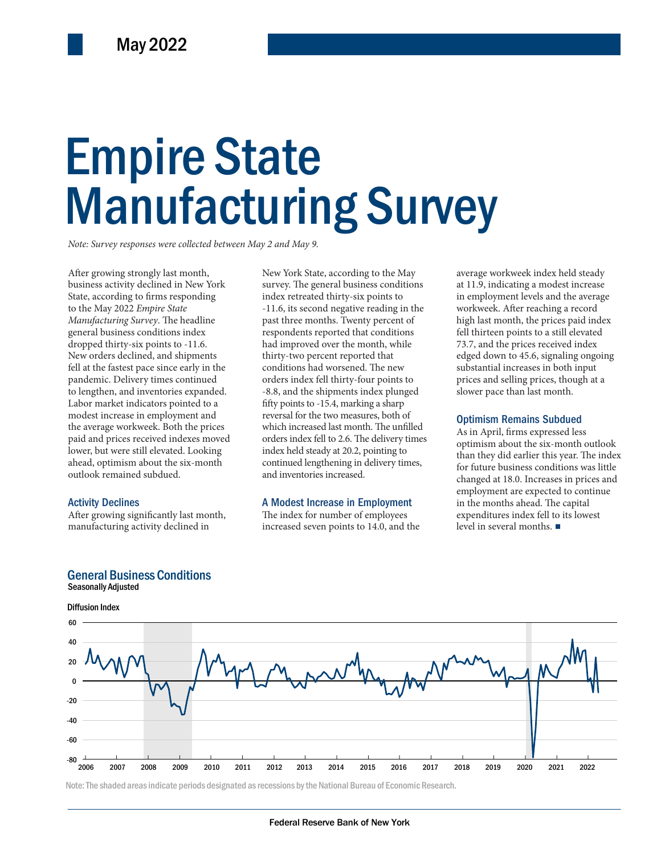# Empire State Empire State Manufacturing Survey Manufacturing Survey

*Note: Survey responses were collected between May 2 and May 9.*

After growing strongly last month, business activity declined in New York State, according to firms responding to the May 2022 *Empire State Manufacturing Survey*. The headline general business conditions index dropped thirty-six points to -11.6. New orders declined, and shipments fell at the fastest pace since early in the pandemic. Delivery times continued to lengthen, and inventories expanded. Labor market indicators pointed to a modest increase in employment and the average workweek. Both the prices paid and prices received indexes moved lower, but were still elevated. Looking ahead, optimism about the six-month outlook remained subdued.

### Activity Declines

After growing significantly last month, manufacturing activity declined in

General Business Conditions

in employment and<br>
streversal for the two measures, both of<br>
the prices which increased last month. The unfilled<br>
eceived indexes moved<br>
till elevated. Looking<br>
index held steady at 20.2, pointing to<br>
the the distribution New York State, according to the May survey. The general business conditions index retreated thirty-six points to -11.6, its second negative reading in the past three months. Twenty percent of respondents reported that conditions had improved over the month, while thirty-two percent reported that conditions had worsened. The new orders index fell thirty-four points to -8.8, and the shipments index plunged fifty points to -15.4, marking a sharp reversal for the two measures, both of which increased last month. The unfilled orders index fell to 2.6. The delivery times index held steady at 20.2, pointing to continued lengthening in delivery times, and inventories increased.

### A Modest Increase in Employment

The index for number of employees increased seven points to 14.0, and the

average workweek index held steady at 11.9, indicating a modest increase in employment levels and the average workweek. After reaching a record high last month, the prices paid index fell thirteen points to a still elevated 73.7, and the prices received index edged down to 45.6, signaling ongoing substantial increases in both input prices and selling prices, though at a slower pace than last month.

### Optimism Remains Subdued

As in April, firms expressed less optimism about the six-month outlook than they did earlier this year. The index for future business conditions was little changed at 18.0. Increases in prices and employment are expected to continue in the months ahead. The capital expenditures index fell to its lowest level in several months. ■





Note: The shaded areas indicate periods designated as recessions by the National Bureau of Economic Research.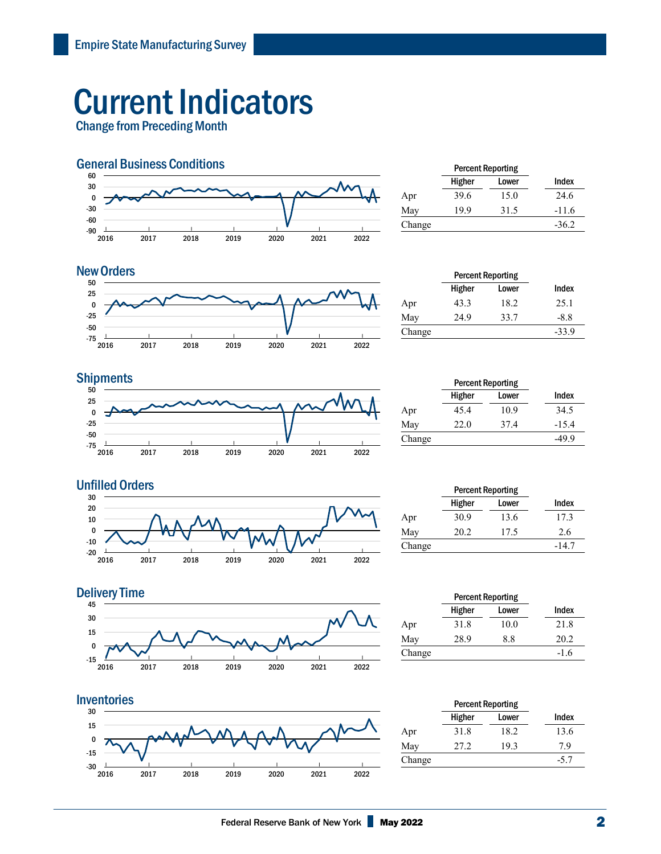# Current Indicators

Change from Preceding Month



|        | <b>Percent Reporting</b> |       |         |
|--------|--------------------------|-------|---------|
|        | Higher                   | Lower | Index   |
| Apr    | 39.6                     | 15.0  | 24.6    |
| May    | 19.9                     | 31.5  | $-11.6$ |
| Change |                          |       | $-36.2$ |
|        |                          |       |         |

### **New Orders**



|        | <b>Percent Reporting</b> |       |         |
|--------|--------------------------|-------|---------|
|        | Higher                   | Lower | Index   |
| Apr    | 43.3                     | 18.2  | 25.1    |
| May    | 24.9                     | 33.7  | $-8.8$  |
| Change |                          |       | $-33.9$ |

## **Shipments**



|        | <b>Percent Reporting</b> |       |         |  |
|--------|--------------------------|-------|---------|--|
|        | Higher                   | Lower | Index   |  |
| Apr    | 45.4                     | 10.9  | 34.5    |  |
| May    | 22.0                     | 37.4  | $-15.4$ |  |
| Change |                          |       | -49.9   |  |



|        | <b>Percent Reporting</b> |       |         |
|--------|--------------------------|-------|---------|
|        | Higher                   | Lower | Index   |
| Apr    | 30.9                     | 13.6  | 17.3    |
| May    | 20.2                     | 17.5  | 2.6     |
| Change |                          |       | $-14.7$ |



#### Inventories **Percent Reporting**  30 15 0 7 -15  $-30$   $\frac{1}{2016}$ | -30 | | | | | | 2017 2018 2019 2020 2021 2022

|        | <b>Percent Reporting</b> |       |        |  |
|--------|--------------------------|-------|--------|--|
|        | Higher                   | Lower | Index  |  |
| Apr    | 31.8                     | 10.0  | 21.8   |  |
| May    | 28.9                     | 8.8   | 20.2   |  |
| Change |                          |       | $-1.6$ |  |
|        |                          |       |        |  |

|        | <b>Percent Reporting</b> |       |        |
|--------|--------------------------|-------|--------|
|        | Higher                   | Lower | Index  |
| Apr    | 31.8                     | 18.2  | 13.6   |
| May    | 27.2                     | 19.3  | 7.9    |
| Change |                          |       | $-5.7$ |
|        |                          |       |        |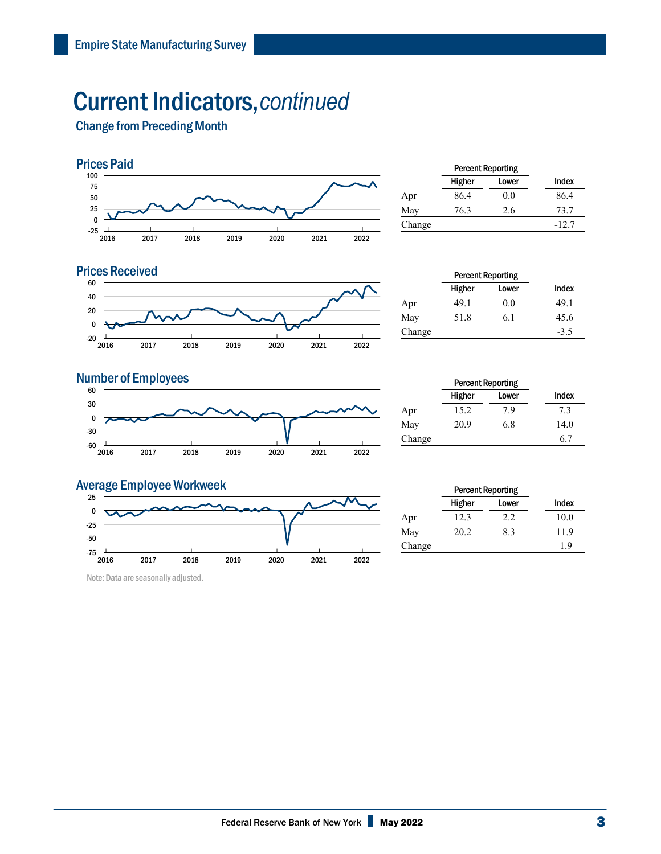## Current Indicators,*continued*

Change from Preceding Month



|        | <b>Percent Reporting</b> |       |         |
|--------|--------------------------|-------|---------|
|        | Higher                   | Lower | Index   |
| Apr    | 86.4                     | 0.0   | 86.4    |
| May    | 76.3                     | 2.6   | 73.7    |
| Change |                          |       | $-12.7$ |
|        |                          |       |         |



|        | <b>Percent Reporting</b> |       |        |
|--------|--------------------------|-------|--------|
|        | Higher                   | Lower | Index  |
| Apr    | 49.1                     | 0.0   | 49.1   |
| May    | 51.8                     | 6.1   | 45.6   |
| Change |                          |       | $-3.5$ |
|        |                          |       |        |

### **Number of Employees**



|        | <b>Percent Reporting</b> |       |       |
|--------|--------------------------|-------|-------|
|        | Higher                   | Lower | Index |
| Apr    | 15.2                     | 7.9   | 7.3   |
| May    | 20.9                     | 6.8   | 14.0  |
| Change |                          |       | 6.7   |

### Average Employee Workweek



Note: Data are seasonally adjusted.

|        | <b>Percent Reporting</b> |       |       |
|--------|--------------------------|-------|-------|
|        | Higher                   | Lower | Index |
| Apr    | 12.3                     | 2.2   | 10.0  |
| May    | 20.2                     | 8.3   | 11.9  |
| Change |                          |       | 1.9   |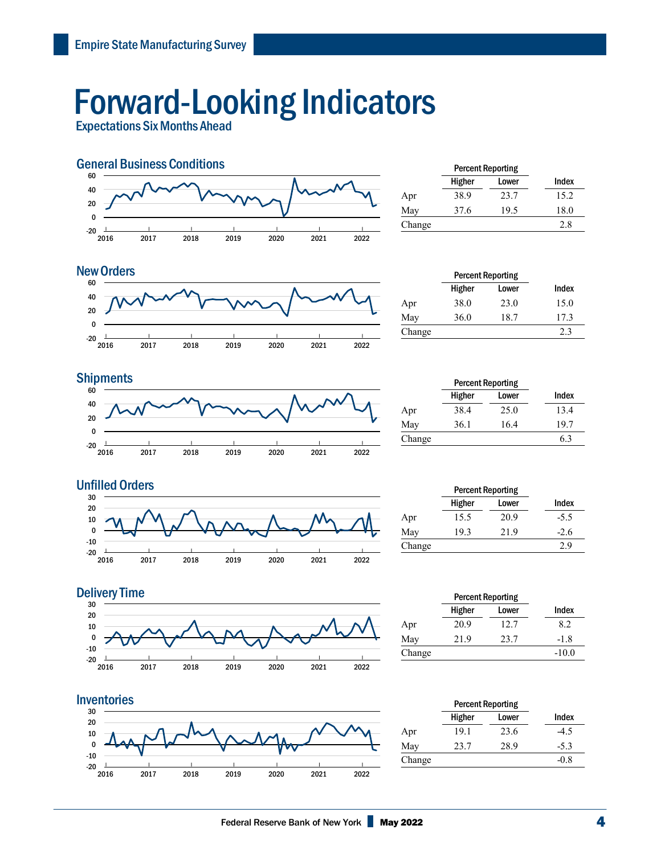# Forward-Looking Indicators

Expectations Six Months Ahead



|        | <b>Percent Reporting</b> |       |       |
|--------|--------------------------|-------|-------|
|        | Higher                   | Lower | Index |
| Apr    | 38.9                     | 23.7  | 15.2  |
| May    | 37.6                     | 19.5  | 18.0  |
| Change |                          |       | 2.8   |

### $-20$   $\frac{1}{2016}$ | 2017 | 2018 | 2019 | 2020 | 2021 | 2022 | -20 0 20 40 60 New Orders **Percent Reporting**

|        | <b>Percent Reporting</b> |       |       |
|--------|--------------------------|-------|-------|
|        | Higher                   | Lower | Index |
| Apr    | 38.0                     | 23.0  | 15.0  |
| May    | 36.0                     | 18.7  | 17.3  |
| Change |                          |       | 2.3   |



|        | <b>Percent Reporting</b> |       |       |  |
|--------|--------------------------|-------|-------|--|
|        | Higher                   | Lower | Index |  |
| Apr    | 38.4                     | 25.0  | 13.4  |  |
| May    | 36.1                     | 16.4  | 19.7  |  |
| Change |                          |       | 6.3   |  |



|        | <b>Percent Reporting</b> |       |        |
|--------|--------------------------|-------|--------|
|        | Higher                   | Lower | Index  |
| Apr    | 15.5                     | 20.9  | $-5.5$ |
| May    | 19.3                     | 21.9  | $-2.6$ |
| Change |                          |       | 2.9    |
|        |                          |       |        |





| <b>Percent Reporting</b> |       |         |
|--------------------------|-------|---------|
| Higher                   | Lower | Index   |
| 20.9                     | 12.7  | 8.2     |
| 21.9                     | 23.7  | $-1.8$  |
|                          |       | $-10.0$ |
|                          |       |         |

|        | <b>Percent Reporting</b> |       |        |  |
|--------|--------------------------|-------|--------|--|
|        | Higher                   | Lower | Index  |  |
| Apr    | 19.1                     | 23.6  | -4.5   |  |
| May    | 23.7                     | 28.9  | $-5.3$ |  |
| Change |                          |       | -0.8   |  |